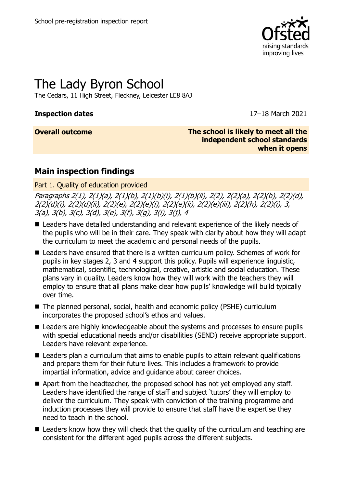

# The Lady Byron School

The Cedars, 11 High Street, Fleckney, Leicester LE8 8AJ

#### **Inspection dates** 17–18 March 2021

**Overall outcome The school is likely to meet all the independent school standards when it opens**

## **Main inspection findings**

Part 1. Quality of education provided

Paragraphs 2(1), 2(1)(a), 2(1)(b), 2(1)(b)(i), 2(1)(b)(ii), 2(2), 2(2)(a), 2(2)(b), 2(2)(d), 2(2)(d)(i), 2(2)(d)(ii), 2(2)(e), 2(2)(e)(i), 2(2)(e)(ii), 2(2)(e)(iii), 2(2)(h), 2(2)(i), 3, 3(a), 3(b), 3(c), 3(d), 3(e), 3(f), 3(g), 3(i), 3(j), 4

- Leaders have detailed understanding and relevant experience of the likely needs of the pupils who will be in their care. They speak with clarity about how they will adapt the curriculum to meet the academic and personal needs of the pupils.
- Leaders have ensured that there is a written curriculum policy. Schemes of work for pupils in key stages 2, 3 and 4 support this policy. Pupils will experience linguistic, mathematical, scientific, technological, creative, artistic and social education. These plans vary in quality. Leaders know how they will work with the teachers they will employ to ensure that all plans make clear how pupils' knowledge will build typically over time.
- The planned personal, social, health and economic policy (PSHE) curriculum incorporates the proposed school's ethos and values.
- Leaders are highly knowledgeable about the systems and processes to ensure pupils with special educational needs and/or disabilities (SEND) receive appropriate support. Leaders have relevant experience.
- Leaders plan a curriculum that aims to enable pupils to attain relevant qualifications and prepare them for their future lives. This includes a framework to provide impartial information, advice and guidance about career choices.
- Apart from the headteacher, the proposed school has not yet employed any staff. Leaders have identified the range of staff and subject 'tutors' they will employ to deliver the curriculum. They speak with conviction of the training programme and induction processes they will provide to ensure that staff have the expertise they need to teach in the school.
- $\blacksquare$  Leaders know how they will check that the quality of the curriculum and teaching are consistent for the different aged pupils across the different subjects.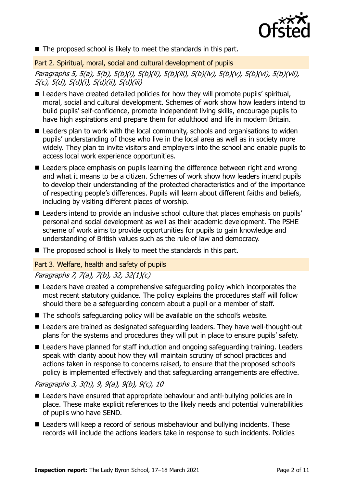

■ The proposed school is likely to meet the standards in this part.

Part 2. Spiritual, moral, social and cultural development of pupils

Paragraphs 5, 5(a), 5(b), 5(b)(i), 5(b)(ii), 5(b)(iii), 5(b)(iv), 5(b)(v), 5(b)(vi), 5(b)(vii), 5(c), 5(d), 5(d)(i), 5(d)(ii), 5(d)(iii)

- Leaders have created detailed policies for how they will promote pupils' spiritual, moral, social and cultural development. Schemes of work show how leaders intend to build pupils' self-confidence, promote independent living skills, encourage pupils to have high aspirations and prepare them for adulthood and life in modern Britain.
- Leaders plan to work with the local community, schools and organisations to widen pupils' understanding of those who live in the local area as well as in society more widely. They plan to invite visitors and employers into the school and enable pupils to access local work experience opportunities.
- Leaders place emphasis on pupils learning the difference between right and wrong and what it means to be a citizen. Schemes of work show how leaders intend pupils to develop their understanding of the protected characteristics and of the importance of respecting people's differences. Pupils will learn about different faiths and beliefs, including by visiting different places of worship.
- Leaders intend to provide an inclusive school culture that places emphasis on pupils' personal and social development as well as their academic development. The PSHE scheme of work aims to provide opportunities for pupils to gain knowledge and understanding of British values such as the rule of law and democracy.
- The proposed school is likely to meet the standards in this part.

#### Part 3. Welfare, health and safety of pupils

### Paragraphs 7, 7(a), 7(b), 32, 32(1)(c)

- Leaders have created a comprehensive safeguarding policy which incorporates the most recent statutory guidance. The policy explains the procedures staff will follow should there be a safeguarding concern about a pupil or a member of staff.
- The school's safeguarding policy will be available on the school's website.
- Leaders are trained as designated safeguarding leaders. They have well-thought-out plans for the systems and procedures they will put in place to ensure pupils' safety.
- Leaders have planned for staff induction and ongoing safeguarding training. Leaders speak with clarity about how they will maintain scrutiny of school practices and actions taken in response to concerns raised, to ensure that the proposed school's policy is implemented effectively and that safeguarding arrangements are effective.

#### Paragraphs 3, 3(h), 9, 9(a), 9(b), 9(c), 10

- Leaders have ensured that appropriate behaviour and anti-bullying policies are in place. These make explicit references to the likely needs and potential vulnerabilities of pupils who have SEND.
- Leaders will keep a record of serious misbehaviour and bullying incidents. These records will include the actions leaders take in response to such incidents. Policies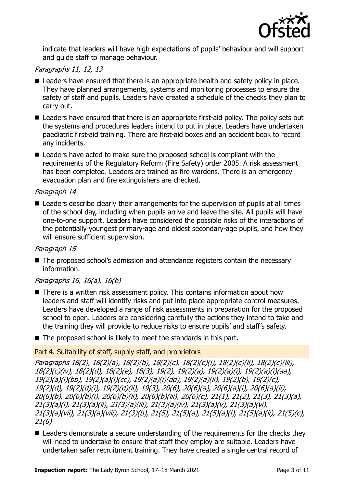

indicate that leaders will have high expectations of pupils' behaviour and will support and guide staff to manage behaviour.

#### Paragraphs 11, 12, 13

- Leaders have ensured that there is an appropriate health and safety policy in place. They have planned arrangements, systems and monitoring processes to ensure the safety of staff and pupils. Leaders have created a schedule of the checks they plan to carry out.
- Leaders have ensured that there is an appropriate first-aid policy. The policy sets out the systems and procedures leaders intend to put in place. Leaders have undertaken paediatric first-aid training. There are first-aid boxes and an accident book to record any incidents.
- Leaders have acted to make sure the proposed school is compliant with the requirements of the Regulatory Reform (Fire Safety) order 2005. A risk assessment has been completed. Leaders are trained as fire wardens. There is an emergency evacuation plan and fire extinguishers are checked.

#### Paragraph 14

■ Leaders describe clearly their arrangements for the supervision of pupils at all times of the school day, including when pupils arrive and leave the site. All pupils will have one-to-one support. Leaders have considered the possible risks of the interactions of the potentially youngest primary-age and oldest secondary-age pupils, and how they will ensure sufficient supervision.

#### Paragraph 15

■ The proposed school's admission and attendance registers contain the necessary information.

#### Paragraphs 16, 16(a), 16(b)

- There is a written risk assessment policy. This contains information about how leaders and staff will identify risks and put into place appropriate control measures. Leaders have developed a range of risk assessments in preparation for the proposed school to open. Leaders are considering carefully the actions they intend to take and the training they will provide to reduce risks to ensure pupils' and staff's safety.
- The proposed school is likely to meet the standards in this part.

#### Part 4. Suitability of staff, supply staff, and proprietors

Paragraphs 18(2), 18(2)(a), 18(2)(b), 18(2)(c), 18(2)(c)(i), 18(2)(c)(ii), 18(2)(c)(iii), 18(2)(c)(iv), 18(2)(d), 18(2)(e), 18(3), 19(2), 19(2)(a), 19(2)(a)(i), 19(2)(a)(i)(aa), 19(2)(a)(i)(bb), 19(2)(a)(i)(cc), 19(2)(a)(i)(dd), 19(2)(a)(ii), 19(2)(b), 19(2)(c), 19(2)(d), 19(2)(d)(i), 19(2)(d)(ii), 19(3), 20(6), 20(6)(a), 20(6)(a)(i), 20(6)(a)(ii), 20(6)(b), 20(6)(b)(i), 20(6)(b)(ii), 20(6)(b)(iii), 20(6)(c), 21(1), 21(2), 21(3), 21(3)(a), 21(3)(a)(i), 21(3)(a)(ii), 21(3)(a)(iii), 21(3)(a)(iv), 21(3)(a)(v), 21(3)(a)(vi), 21(3)(a)(vii), 21(3)(a)(viii), 21(3)(b), 21(5), 21(5)(a), 21(5)(a)(i), 21(5)(a)(ii), 21(5)(c), 21(6)

■ Leaders demonstrate a secure understanding of the requirements for the checks they will need to undertake to ensure that staff they employ are suitable. Leaders have undertaken safer recruitment training. They have created a single central record of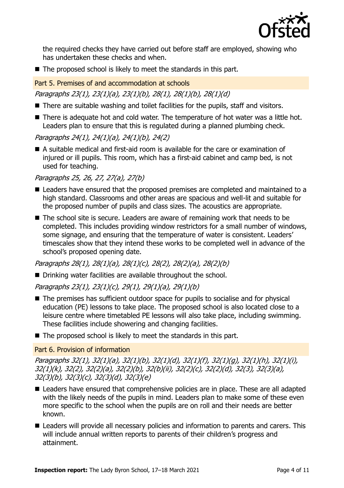

the required checks they have carried out before staff are employed, showing who has undertaken these checks and when.

■ The proposed school is likely to meet the standards in this part.

Part 5. Premises of and accommodation at schools

Paragraphs 23(1), 23(1)(a), 23(1)(b), 28(1), 28(1)(b), 28(1)(d)

- There are suitable washing and toilet facilities for the pupils, staff and visitors.
- There is adequate hot and cold water. The temperature of hot water was a little hot. Leaders plan to ensure that this is regulated during a planned plumbing check.

Paragraphs 24(1), 24(1)(a), 24(1)(b), 24(2)

■ A suitable medical and first-aid room is available for the care or examination of injured or ill pupils. This room, which has a first-aid cabinet and camp bed, is not used for teaching.

Paragraphs 25, 26, 27, 27(a), 27(b)

- Leaders have ensured that the proposed premises are completed and maintained to a high standard. Classrooms and other areas are spacious and well-lit and suitable for the proposed number of pupils and class sizes. The acoustics are appropriate.
- The school site is secure. Leaders are aware of remaining work that needs to be completed. This includes providing window restrictors for a small number of windows, some signage, and ensuring that the temperature of water is consistent. Leaders' timescales show that they intend these works to be completed well in advance of the school's proposed opening date.

Paragraphs 28(1), 28(1)(a), 28(1)(c), 28(2), 28(2)(a), 28(2)(b)

■ Drinking water facilities are available throughout the school.

Paragraphs 23(1), 23(1)(c), 29(1), 29(1)(a), 29(1)(b)

- The premises has sufficient outdoor space for pupils to socialise and for physical education (PE) lessons to take place. The proposed school is also located close to a leisure centre where timetabled PE lessons will also take place, including swimming. These facilities include showering and changing facilities.
- The proposed school is likely to meet the standards in this part.

Part 6. Provision of information

Paragraphs 32(1), 32(1)(a), 32(1)(b), 32(1)(d), 32(1)(f), 32(1)(g), 32(1)(h), 32(1)(i), 32(1)(k), 32(2), 32(2)(a), 32(2)(b), 32(b)(ii), 32(2)(c), 32(2)(d), 32(3), 32(3)(a), 32(3)(b), 32(3)(c), 32(3)(d), 32(3)(e)

- Leaders have ensured that comprehensive policies are in place. These are all adapted with the likely needs of the pupils in mind. Leaders plan to make some of these even more specific to the school when the pupils are on roll and their needs are better known.
- Leaders will provide all necessary policies and information to parents and carers. This will include annual written reports to parents of their children's progress and attainment.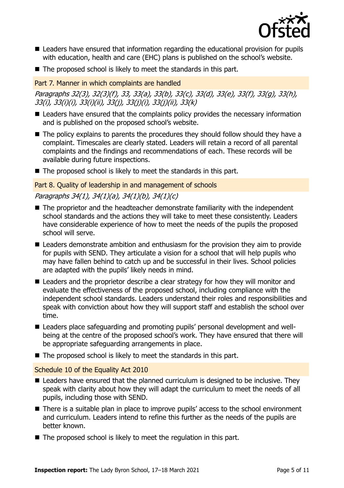

- Leaders have ensured that information regarding the educational provision for pupils with education, health and care (EHC) plans is published on the school's website.
- The proposed school is likely to meet the standards in this part.

#### Part 7. Manner in which complaints are handled

Paragraphs 32(3), 32(3)(f), 33, 33(a), 33(b), 33(c), 33(d), 33(e), 33(f), 33(g), 33(h), 33(i), 33(i)(i), 33(i)(ii), 33(j), 33(j)(i), 33(j)(ii), 33(k)

- Leaders have ensured that the complaints policy provides the necessary information and is published on the proposed school's website.
- The policy explains to parents the procedures they should follow should they have a complaint. Timescales are clearly stated. Leaders will retain a record of all parental complaints and the findings and recommendations of each. These records will be available during future inspections.
- The proposed school is likely to meet the standards in this part.

#### Part 8. Quality of leadership in and management of schools

### Paragraphs 34(1), 34(1)(a), 34(1)(b), 34(1)(c)

- The proprietor and the headteacher demonstrate familiarity with the independent school standards and the actions they will take to meet these consistently. Leaders have considerable experience of how to meet the needs of the pupils the proposed school will serve.
- Leaders demonstrate ambition and enthusiasm for the provision they aim to provide for pupils with SEND. They articulate a vision for a school that will help pupils who may have fallen behind to catch up and be successful in their lives. School policies are adapted with the pupils' likely needs in mind.
- Leaders and the proprietor describe a clear strategy for how they will monitor and evaluate the effectiveness of the proposed school, including compliance with the independent school standards. Leaders understand their roles and responsibilities and speak with conviction about how they will support staff and establish the school over time.
- Leaders place safeguarding and promoting pupils' personal development and wellbeing at the centre of the proposed school's work. They have ensured that there will be appropriate safeguarding arrangements in place.
- The proposed school is likely to meet the standards in this part.

#### Schedule 10 of the Equality Act 2010

- Leaders have ensured that the planned curriculum is designed to be inclusive. They speak with clarity about how they will adapt the curriculum to meet the needs of all pupils, including those with SEND.
- There is a suitable plan in place to improve pupils' access to the school environment and curriculum. Leaders intend to refine this further as the needs of the pupils are better known.
- The proposed school is likely to meet the regulation in this part.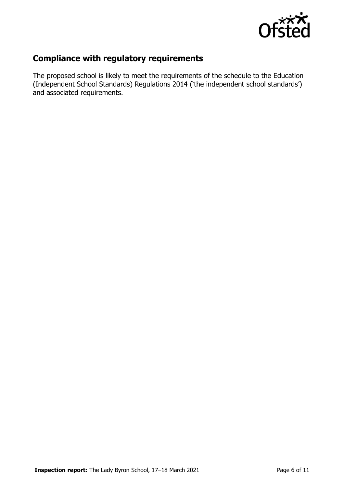

# **Compliance with regulatory requirements**

The proposed school is likely to meet the requirements of the schedule to the Education (Independent School Standards) Regulations 2014 ('the independent school standards') and associated requirements.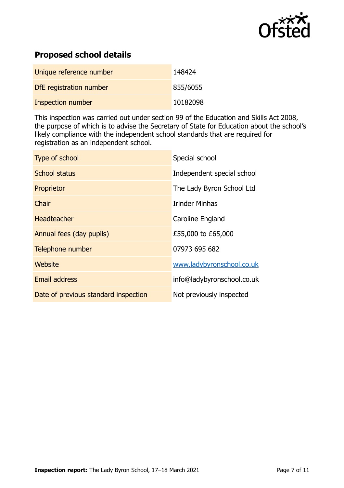

# **Proposed school details**

| Unique reference number  | 148424   |
|--------------------------|----------|
| DfE registration number  | 855/6055 |
| <b>Inspection number</b> | 10182098 |

This inspection was carried out under section 99 of the Education and Skills Act 2008, the purpose of which is to advise the Secretary of State for Education about the school's likely compliance with the independent school standards that are required for registration as an independent school.

| Type of school                       | Special school             |
|--------------------------------------|----------------------------|
| <b>School status</b>                 | Independent special school |
| Proprietor                           | The Lady Byron School Ltd  |
| Chair                                | <b>Irinder Minhas</b>      |
| <b>Headteacher</b>                   | Caroline England           |
| Annual fees (day pupils)             | £55,000 to £65,000         |
| Telephone number                     | 07973 695 682              |
| Website                              | www.ladybyronschool.co.uk  |
| <b>Email address</b>                 | info@ladybyronschool.co.uk |
| Date of previous standard inspection | Not previously inspected   |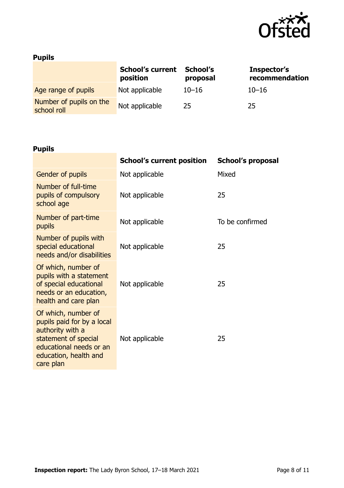

# **Pupils**

|                                        | <b>School's current</b><br>position | School's<br>proposal | Inspector's<br>recommendation |
|----------------------------------------|-------------------------------------|----------------------|-------------------------------|
| Age range of pupils                    | Not applicable                      | $10 - 16$            | $10 - 16$                     |
| Number of pupils on the<br>school roll | Not applicable                      | 25                   | 25                            |

# **Pupils**

|                                                                                                                                                                | <b>School's current position</b> | <b>School's proposal</b> |
|----------------------------------------------------------------------------------------------------------------------------------------------------------------|----------------------------------|--------------------------|
| <b>Gender of pupils</b>                                                                                                                                        | Not applicable                   | Mixed                    |
| Number of full-time<br>pupils of compulsory<br>school age                                                                                                      | Not applicable                   | 25                       |
| Number of part-time<br>pupils                                                                                                                                  | Not applicable                   | To be confirmed          |
| Number of pupils with<br>special educational<br>needs and/or disabilities                                                                                      | Not applicable                   | 25                       |
| Of which, number of<br>pupils with a statement<br>of special educational<br>needs or an education,<br>health and care plan                                     | Not applicable                   | 25                       |
| Of which, number of<br>pupils paid for by a local<br>authority with a<br>statement of special<br>educational needs or an<br>education, health and<br>care plan | Not applicable                   | 25                       |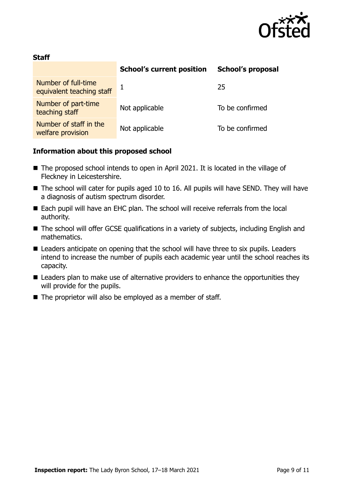

#### **Staff**

|                                                  | <b>School's current position</b> | <b>School's proposal</b> |
|--------------------------------------------------|----------------------------------|--------------------------|
| Number of full-time<br>equivalent teaching staff |                                  | 25                       |
| Number of part-time<br>teaching staff            | Not applicable                   | To be confirmed          |
| Number of staff in the<br>welfare provision      | Not applicable                   | To be confirmed          |

#### **Information about this proposed school**

- The proposed school intends to open in April 2021. It is located in the village of Fleckney in Leicestershire.
- The school will cater for pupils aged 10 to 16. All pupils will have SEND. They will have a diagnosis of autism spectrum disorder.
- Each pupil will have an EHC plan. The school will receive referrals from the local authority.
- The school will offer GCSE qualifications in a variety of subjects, including English and mathematics.
- Leaders anticipate on opening that the school will have three to six pupils. Leaders intend to increase the number of pupils each academic year until the school reaches its capacity.
- Leaders plan to make use of alternative providers to enhance the opportunities they will provide for the pupils.
- The proprietor will also be employed as a member of staff.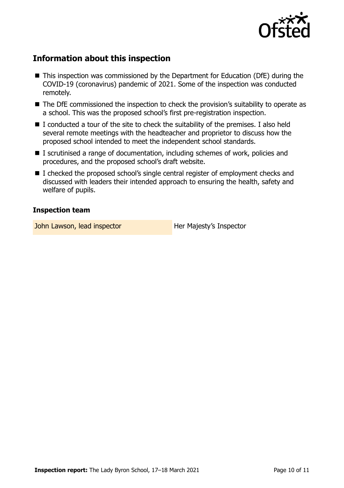

# **Information about this inspection**

- This inspection was commissioned by the Department for Education (DfE) during the COVID-19 (coronavirus) pandemic of 2021. Some of the inspection was conducted remotely.
- The DfE commissioned the inspection to check the provision's suitability to operate as a school. This was the proposed school's first pre-registration inspection.
- $\blacksquare$  I conducted a tour of the site to check the suitability of the premises. I also held several remote meetings with the headteacher and proprietor to discuss how the proposed school intended to meet the independent school standards.
- I scrutinised a range of documentation, including schemes of work, policies and procedures, and the proposed school's draft website.
- I checked the proposed school's single central register of employment checks and discussed with leaders their intended approach to ensuring the health, safety and welfare of pupils.

#### **Inspection team**

John Lawson, lead inspector **Her Majesty's Inspector**